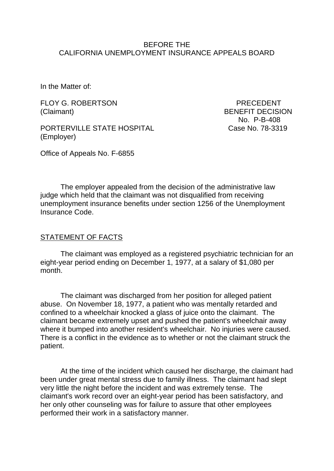#### BEFORE THE CALIFORNIA UNEMPLOYMENT INSURANCE APPEALS BOARD

In the Matter of:

FLOY G. ROBERTSON PRECEDENT (Claimant) BENEFIT DECISION

PORTERVILLE STATE HOSPITAL Case No. 78-3319 (Employer)

Office of Appeals No. F-6855

No. P-B-408

The employer appealed from the decision of the administrative law judge which held that the claimant was not disqualified from receiving unemployment insurance benefits under section 1256 of the Unemployment Insurance Code.

#### STATEMENT OF FACTS

The claimant was employed as a registered psychiatric technician for an eight-year period ending on December 1, 1977, at a salary of \$1,080 per month.

The claimant was discharged from her position for alleged patient abuse. On November 18, 1977, a patient who was mentally retarded and confined to a wheelchair knocked a glass of juice onto the claimant. The claimant became extremely upset and pushed the patient's wheelchair away where it bumped into another resident's wheelchair. No injuries were caused. There is a conflict in the evidence as to whether or not the claimant struck the patient.

At the time of the incident which caused her discharge, the claimant had been under great mental stress due to family illness. The claimant had slept very little the night before the incident and was extremely tense. The claimant's work record over an eight-year period has been satisfactory, and her only other counseling was for failure to assure that other employees performed their work in a satisfactory manner.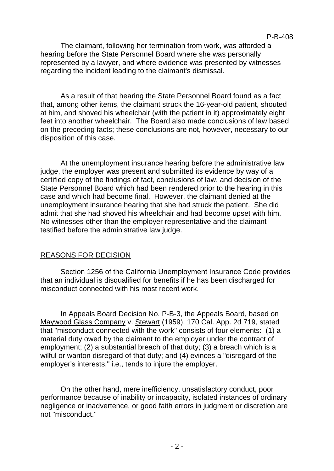The claimant, following her termination from work, was afforded a hearing before the State Personnel Board where she was personally represented by a lawyer, and where evidence was presented by witnesses regarding the incident leading to the claimant's dismissal.

As a result of that hearing the State Personnel Board found as a fact that, among other items, the claimant struck the 16-year-old patient, shouted at him, and shoved his wheelchair (with the patient in it) approximately eight feet into another wheelchair. The Board also made conclusions of law based on the preceding facts; these conclusions are not, however, necessary to our disposition of this case.

At the unemployment insurance hearing before the administrative law judge, the employer was present and submitted its evidence by way of a certified copy of the findings of fact, conclusions of law, and decision of the State Personnel Board which had been rendered prior to the hearing in this case and which had become final. However, the claimant denied at the unemployment insurance hearing that she had struck the patient. She did admit that she had shoved his wheelchair and had become upset with him. No witnesses other than the employer representative and the claimant testified before the administrative law judge.

## REASONS FOR DECISION

Section 1256 of the California Unemployment Insurance Code provides that an individual is disqualified for benefits if he has been discharged for misconduct connected with his most recent work.

In Appeals Board Decision No. P-B-3, the Appeals Board, based on Maywood Glass Company v. Stewart (1959), 170 Cal. App. 2d 719, stated that "misconduct connected with the work" consists of four elements: (1) a material duty owed by the claimant to the employer under the contract of employment; (2) a substantial breach of that duty; (3) a breach which is a wilful or wanton disregard of that duty; and (4) evinces a "disregard of the employer's interests," i.e., tends to injure the employer.

On the other hand, mere inefficiency, unsatisfactory conduct, poor performance because of inability or incapacity, isolated instances of ordinary negligence or inadvertence, or good faith errors in judgment or discretion are not "misconduct."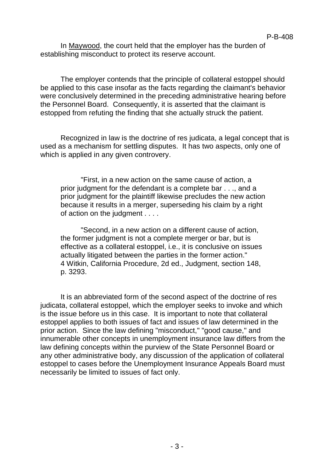In Maywood, the court held that the employer has the burden of establishing misconduct to protect its reserve account.

The employer contends that the principle of collateral estoppel should be applied to this case insofar as the facts regarding the claimant's behavior were conclusively determined in the preceding administrative hearing before the Personnel Board. Consequently, it is asserted that the claimant is estopped from refuting the finding that she actually struck the patient.

Recognized in law is the doctrine of res judicata, a legal concept that is used as a mechanism for settling disputes. It has two aspects, only one of which is applied in any given controvery.

"First, in a new action on the same cause of action, a prior judgment for the defendant is a complete bar . . ., and a prior judgment for the plaintiff likewise precludes the new action because it results in a merger, superseding his claim by a right of action on the judgment . . . .

"Second, in a new action on a different cause of action, the former judgment is not a complete merger or bar, but is effective as a collateral estoppel, i.e., it is conclusive on issues actually litigated between the parties in the former action." 4 Witkin, California Procedure, 2d ed., Judgment, section 148, p. 3293.

It is an abbreviated form of the second aspect of the doctrine of res judicata, collateral estoppel, which the employer seeks to invoke and which is the issue before us in this case. It is important to note that collateral estoppel applies to both issues of fact and issues of law determined in the prior action. Since the law defining "misconduct," "good cause," and innumerable other concepts in unemployment insurance law differs from the law defining concepts within the purview of the State Personnel Board or any other administrative body, any discussion of the application of collateral estoppel to cases before the Unemployment Insurance Appeals Board must necessarily be limited to issues of fact only.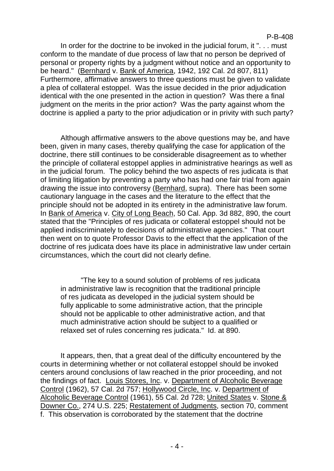In order for the doctrine to be invoked in the judicial forum, it ". . . must conform to the mandate of due process of law that no person be deprived of personal or property rights by a judgment without notice and an opportunity to be heard." (Bernhard v. Bank of America, 1942, 192 Cal. 2d 807, 811) Furthermore, affirmative answers to three questions must be given to validate a plea of collateral estoppel. Was the issue decided in the prior adjudication identical with the one presented in the action in question? Was there a final judgment on the merits in the prior action? Was the party against whom the doctrine is applied a party to the prior adjudication or in privity with such party?

Although affirmative answers to the above questions may be, and have been, given in many cases, thereby qualifying the case for application of the doctrine, there still continues to be considerable disagreement as to whether the principle of collateral estoppel applies in administrative hearings as well as in the judicial forum. The policy behind the two aspects of res judicata is that of limiting litigation by preventing a party who has had one fair trial from again drawing the issue into controversy (Bernhard, supra). There has been some cautionary language in the cases and the literature to the effect that the principle should not be adopted in its entirety in the administrative law forum. In Bank of America v. City of Long Beach, 50 Cal. App. 3d 882, 890, the court stated that the "Principles of res judicata or collateral estoppel should not be applied indiscriminately to decisions of administrative agencies." That court then went on to quote Professor Davis to the effect that the application of the doctrine of res judicata does have its place in administrative law under certain circumstances, which the court did not clearly define.

"The key to a sound solution of problems of res judicata in administrative law is recognition that the traditional principle of res judicata as developed in the judicial system should be fully applicable to some administrative action, that the principle should not be applicable to other administrative action, and that much administrative action should be subject to a qualified or relaxed set of rules concerning res judicata." Id. at 890.

It appears, then, that a great deal of the difficulty encountered by the courts in determining whether or not collateral estoppel should be invoked centers around conclusions of law reached in the prior proceeding, and not the findings of fact. Louis Stores, Inc. v. Department of Alcoholic Beverage Control (1962), 57 Cal. 2d 757; Hollywood Circle, Inc. v. Department of Alcoholic Beverage Control (1961), 55 Cal. 2d 728; United States v. Stone & Downer Co., 274 U.S. 225; Restatement of Judgments, section 70, comment f. This observation is corroborated by the statement that the doctrine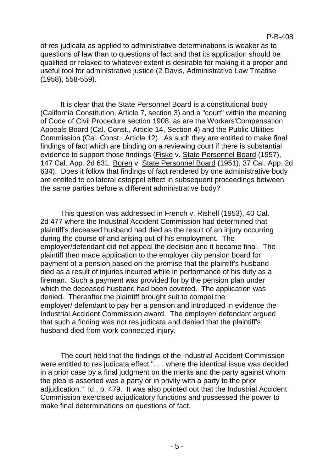of res judicata as applied to administrative determinations is weaker as to questions of law than to questions of fact and that its application should be qualified or relaxed to whatever extent is desirable for making it a proper and useful tool for administrative justice (2 Davis, Administrative Law Treatise (1958), 558-559).

It is clear that the State Personnel Board is a constitutional body (California Constitution, Article 7, section 3) and a "court" within the meaning of Code of Civil Procedure section 1908, as are the Workers'Compensation Appeals Board (Cal. Const., Article 14, Section 4) and the Public Utilities Commission (Cal. Const., Article 12). As such they are entitled to make final findings of fact which are binding on a reviewing court if there is substantial evidence to support those findings (Fiske v. State Personnel Board (1957), 147 Cal. App. 2d 631; Boren v. State Personnel Board (1951), 37 Cal. App. 2d 634). Does it follow that findings of fact rendered by one administrative body are entitled to collateral estoppel effect in subsequent proceedings between the same parties before a different administrative body?

This question was addressed in French v. Rishell (1953), 40 Cal. 2d 477 where the Industrial Accident Commission had determined that plaintiff's deceased husband had died as the result of an injury occurring during the course of and arising out of his employment. The employer/defendant did not appeal the decision and it became final. The plaintiff then made application to the employer city pension board for payment of a pension based on the premise that the plaintiff's husband died as a result of injuries incurred while in performance of his duty as a fireman. Such a payment was provided for by the pension plan under which the deceased husband had been covered. The application was denied. Thereafter the plaintiff brought suit to compel the employer/ defendant to pay her a pension and introduced in evidence the Industrial Accident Commission award. The employer/ defendant argued that such a finding was not res judicata and denied that the plaintiff's husband died from work-connected injury.

The court held that the findings of the Industrial Accident Commission were entitled to res judicata effect ". . . where the identical issue was decided in a prior case by a final judgment on the merits and the party against whom the plea is asserted was a party or in privity with a party to the prior adjudication." Id., p. 479. It was also pointed out that the Industrial Accident Commission exercised adjudicatory functions and possessed the power to make final determinations on questions of fact.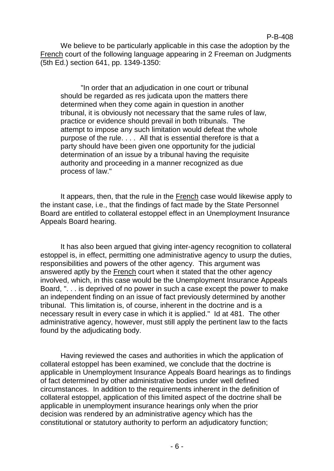We believe to be particularly applicable in this case the adoption by the French court of the following language appearing in 2 Freeman on Judgments (5th Ed.) section 641, pp. 1349-1350:

"In order that an adjudication in one court or tribunal should be regarded as res judicata upon the matters there determined when they come again in question in another tribunal, it is obviously not necessary that the same rules of law, practice or evidence should prevail in both tribunals. The attempt to impose any such limitation would defeat the whole purpose of the rule. . . . All that is essential therefore is that a party should have been given one opportunity for the judicial determination of an issue by a tribunal having the requisite authority and proceeding in a manner recognized as due process of law."

It appears, then, that the rule in the French case would likewise apply to the instant case, i.e., that the findings of fact made by the State Personnel Board are entitled to collateral estoppel effect in an Unemployment Insurance Appeals Board hearing.

It has also been argued that giving inter-agency recognition to collateral estoppel is, in effect, permitting one administrative agency to usurp the duties, responsibilities and powers of the other agency. This argument was answered aptly by the French court when it stated that the other agency involved, which, in this case would be the Unemployment Insurance Appeals Board, ". . . is deprived of no power in such a case except the power to make an independent finding on an issue of fact previously determined by another tribunal. This limitation is, of course, inherent in the doctrine and is a necessary result in every case in which it is applied." Id at 481. The other administrative agency, however, must still apply the pertinent law to the facts found by the adjudicating body.

Having reviewed the cases and authorities in which the application of collateral estoppel has been examined, we conclude that the doctrine is applicable in Unemployment Insurance Appeals Board hearings as to findings of fact determined by other administrative bodies under well defined circumstances. In addition to the requirements inherent in the definition of collateral estoppel, application of this limited aspect of the doctrine shall be applicable in unemployment insurance hearings only when the prior decision was rendered by an administrative agency which has the constitutional or statutory authority to perform an adjudicatory function;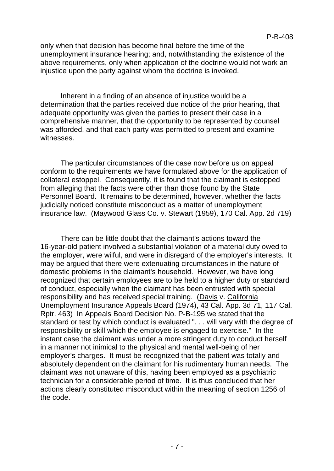only when that decision has become final before the time of the unemployment insurance hearing; and, notwithstanding the existence of the above requirements, only when application of the doctrine would not work an injustice upon the party against whom the doctrine is invoked.

Inherent in a finding of an absence of injustice would be a determination that the parties received due notice of the prior hearing, that adequate opportunity was given the parties to present their case in a comprehensive manner, that the opportunity to be represented by counsel was afforded, and that each party was permitted to present and examine witnesses.

The particular circumstances of the case now before us on appeal conform to the requirements we have formulated above for the application of collateral estoppel. Consequently, it is found that the claimant is estopped from alleging that the facts were other than those found by the State Personnel Board. It remains to be determined, however, whether the facts judicially noticed constitute misconduct as a matter of unemployment insurance law. (Maywood Glass Co. v. Stewart (1959), 170 Cal. App. 2d 719)

There can be little doubt that the claimant's actions toward the 16-year-old patient involved a substantial violation of a material duty owed to the employer, were wilful, and were in disregard of the employer's interests. It may be argued that there were extenuating circumstances in the nature of domestic problems in the claimant's household. However, we have long recognized that certain employees are to be held to a higher duty or standard of conduct, especially when the claimant has been entrusted with special responsibility and has received special training. (Davis v. California Unemployment Insurance Appeals Board (1974), 43 Cal. App. 3d 71, 117 Cal. Rptr. 463) In Appeals Board Decision No. P-B-195 we stated that the standard or test by which conduct is evaluated ". . . will vary with the degree of responsibility or skill which the employee is engaged to exercise." In the instant case the claimant was under a more stringent duty to conduct herself in a manner not inimical to the physical and mental well-being of her employer's charges. It must be recognized that the patient was totally and absolutely dependent on the claimant for his rudimentary human needs. The claimant was not unaware of this, having been employed as a psychiatric technician for a considerable period of time. It is thus concluded that her actions clearly constituted misconduct within the meaning of section 1256 of the code.